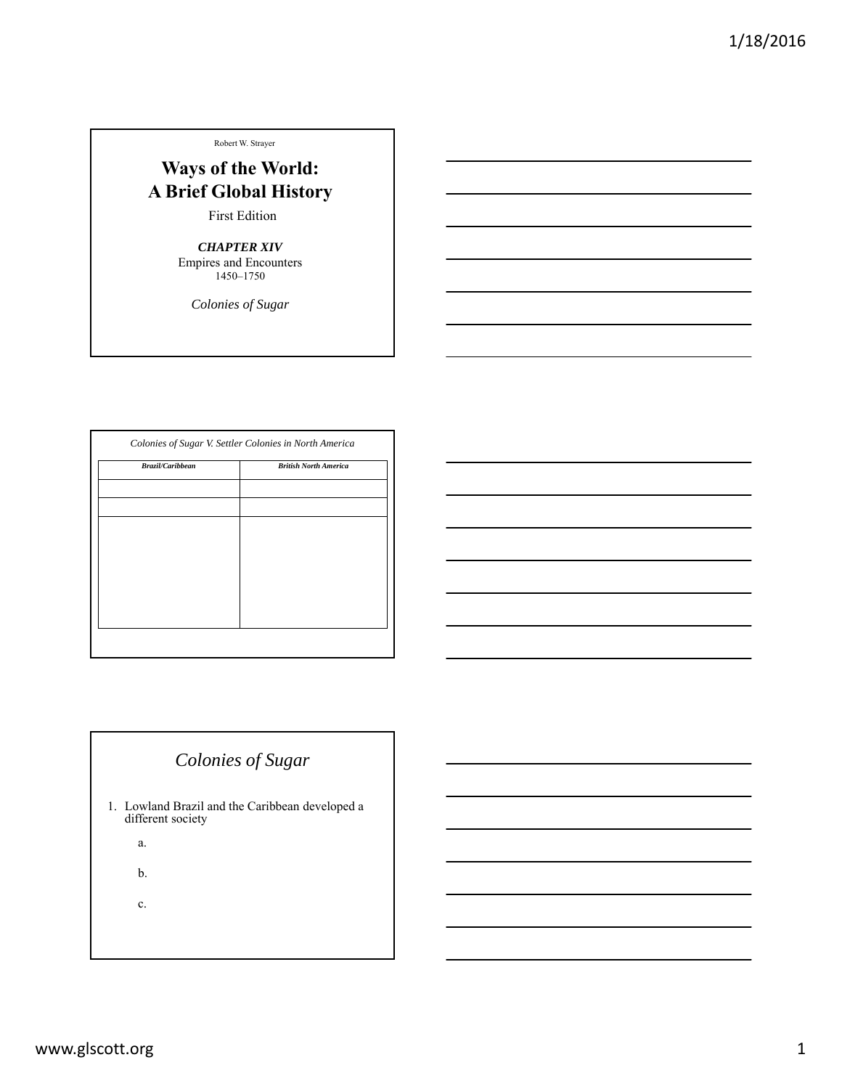#### Robert W. Strayer

# **Ways of the World: A Brief Global History**

First Edition

*CHAPTER XIV* Empires and Encounters 1450–1750

*Colonies of Sugar*

| Brazil/Caribbean | <b>British North America</b> |
|------------------|------------------------------|
|                  |                              |
|                  |                              |
|                  |                              |
|                  |                              |
|                  |                              |
|                  |                              |
|                  |                              |
|                  |                              |

# *Colonies of Sugar*

- 1. Lowland Brazil and the Caribbean developed a different society
	- a.

b.

c.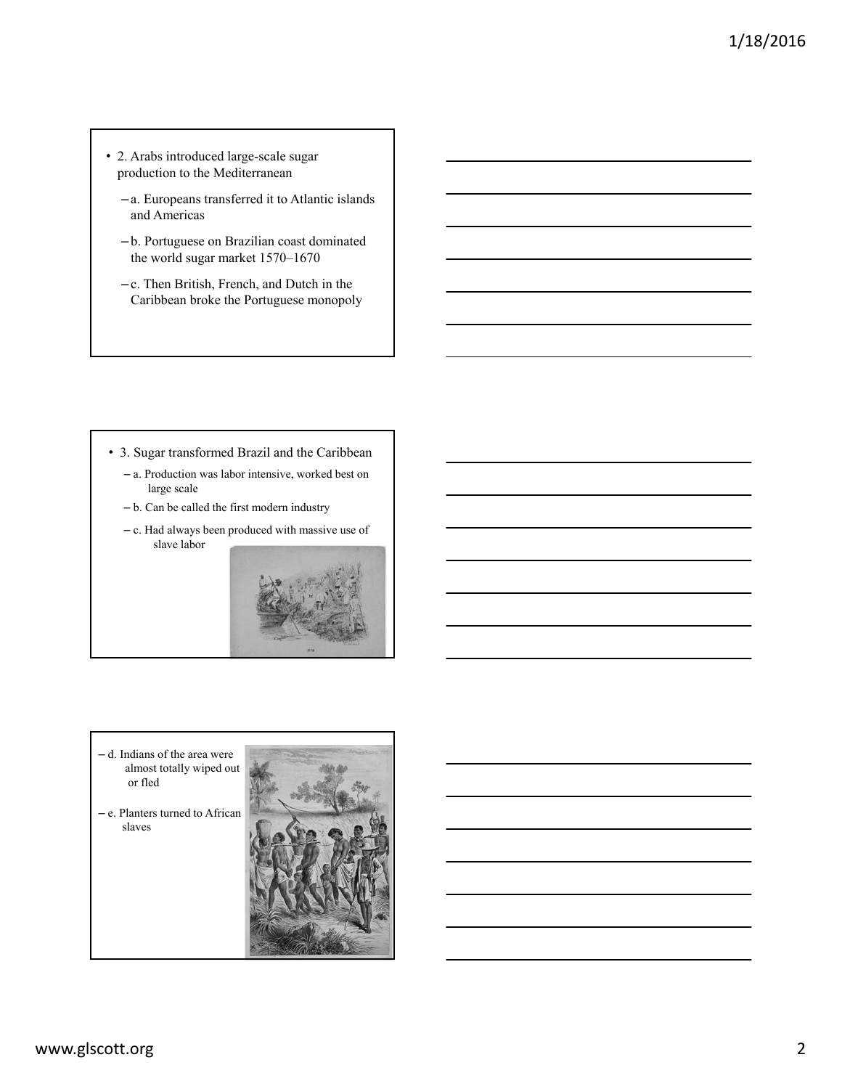- 2. Arabs introduced large-scale sugar production to the Mediterranean
	- a. Europeans transferred it to Atlantic islands and Americas
	- b. Portuguese on Brazilian coast dominated the world sugar market 1570–1670
	- c. Then British, French, and Dutch in the Caribbean broke the Portuguese monopoly

- 3. Sugar transformed Brazil and the Caribbean
	- a. Production was labor intensive, worked best on large scale
	- b. Can be called the first modern industry
	- c. Had always been produced with massive use of slave labor



- d. Indians of the area were almost totally wiped out or fled
- e. Planters turned to African slaves

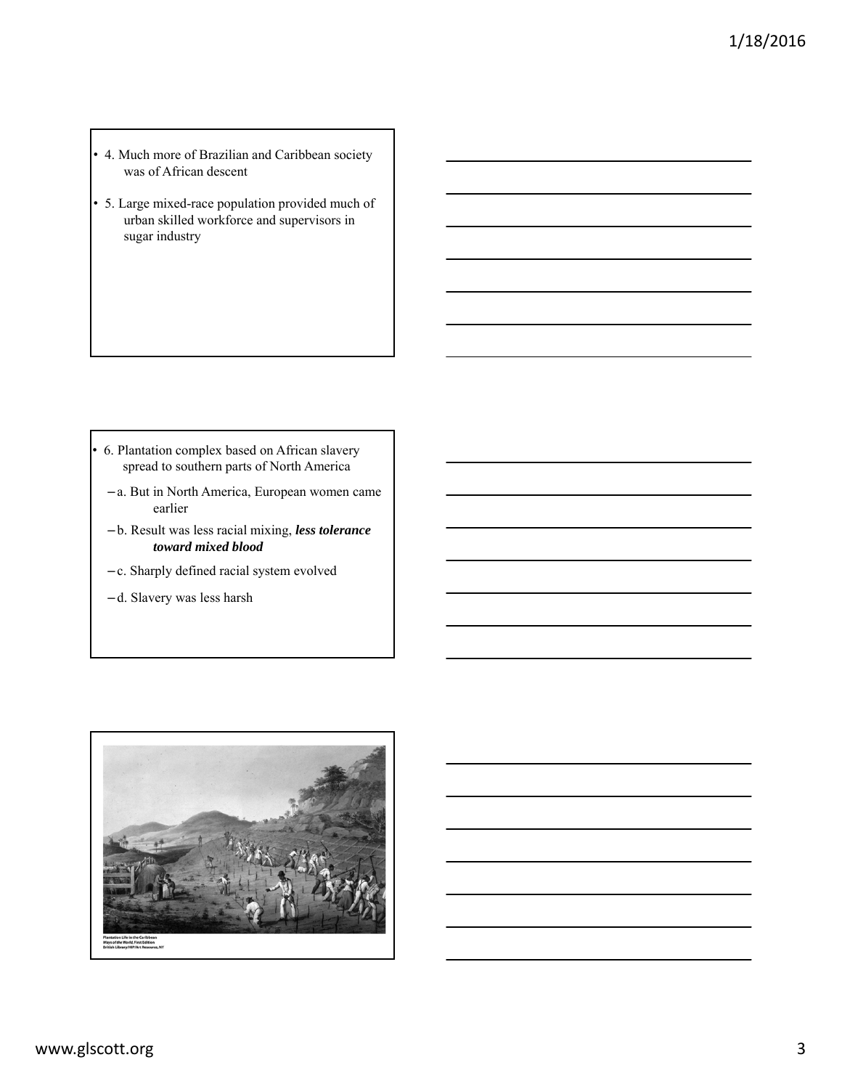- 4. Much more of Brazilian and Caribbean society was of African descent
- 5. Large mixed-race population provided much of urban skilled workforce and supervisors in sugar industry

- 6. Plantation complex based on African slavery spread to southern parts of North America
	- a. But in North America, European women came earlier
	- b. Result was less racial mixing, *less tolerance toward mixed blood*
	- c. Sharply defined racial system evolved
	- d. Slavery was less harsh

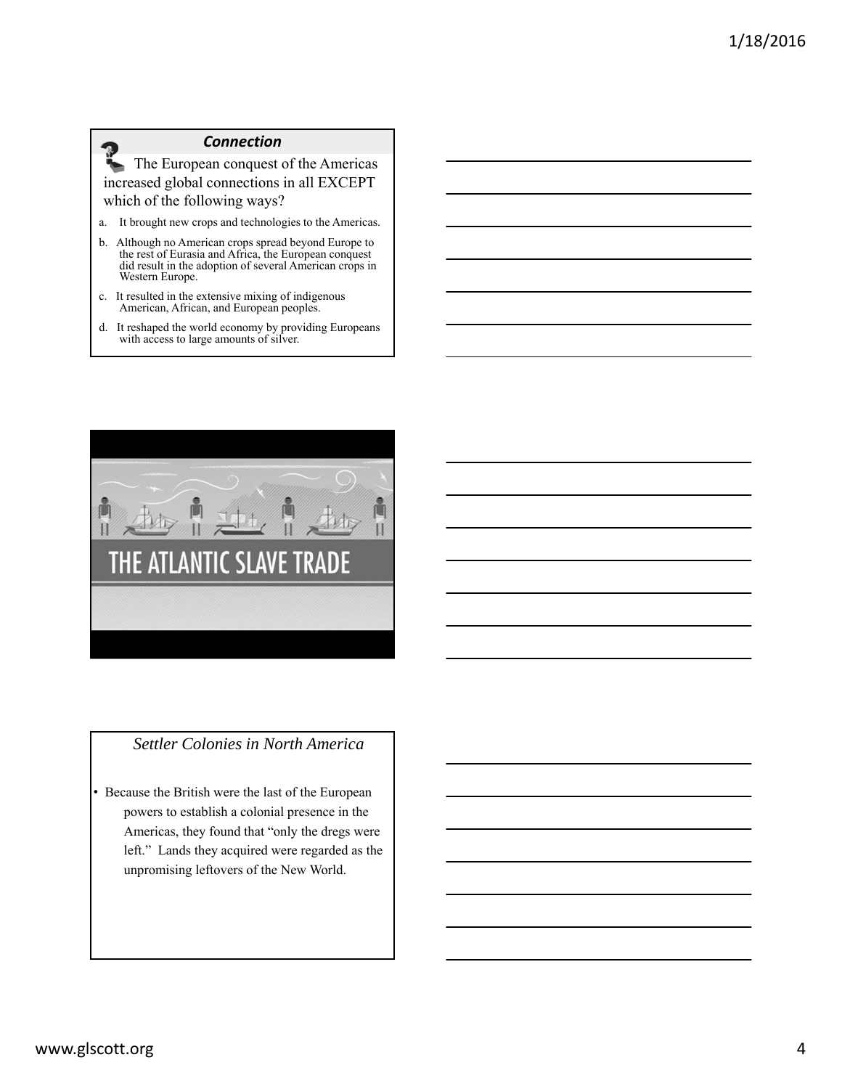#### *Connection*

The European conquest of the Americas increased global connections in all EXCEPT which of the following ways?

- a. It brought new crops and technologies to the Americas.
- b. Although no American crops spread beyond Europe to the rest of Eurasia and Africa, the European conquest did result in the adoption of several American crops in Western Europe.
- c. It resulted in the extensive mixing of indigenous American, African, and European peoples.
- d. It reshaped the world economy by providing Europeans with access to large amounts of silver.



## *Settler Colonies in North America*

• Because the British were the last of the European powers to establish a colonial presence in the Americas, they found that "only the dregs were left." Lands they acquired were regarded as the unpromising leftovers of the New World.